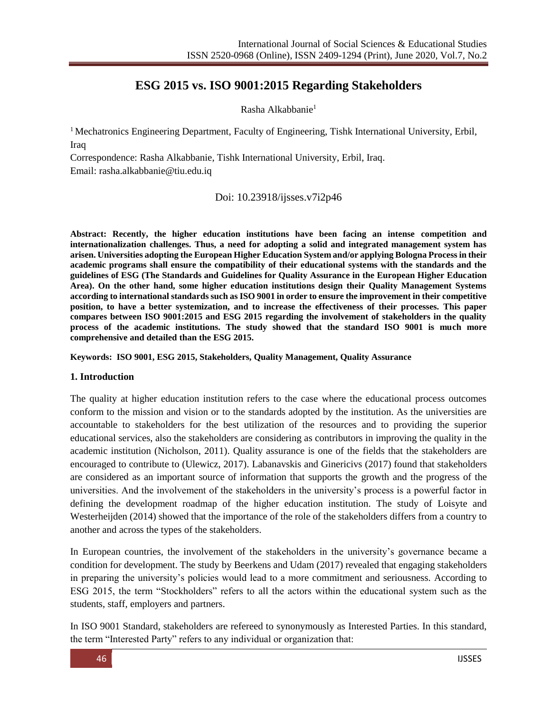# **ESG 2015 vs. ISO 9001:2015 Regarding Stakeholders**

Rasha Alkabbanie<sup>1</sup>

<sup>1</sup> Mechatronics Engineering Department, Faculty of Engineering, Tishk International University, Erbil, Iraq

Correspondence: Rasha Alkabbanie, Tishk International University, Erbil, Iraq. Email: [rasha.alkabbanie@tiu.edu.iq](mailto:rasha.alkabbanie@tiu.edu.iq)

### Doi: 10.23918/ijsses.v7i2p46

**Abstract: Recently, the higher education institutions have been facing an intense competition and internationalization challenges. Thus, a need for adopting a solid and integrated management system has arisen. Universities adopting the European Higher Education System and/or applying Bologna Process in their academic programs shall ensure the compatibility of their educational systems with the standards and the guidelines of ESG (The Standards and Guidelines for Quality Assurance in the European Higher Education Area). On the other hand, some higher education institutions design their Quality Management Systems according to international standards such as ISO 9001 in order to ensure the improvement in their competitive position, to have a better systemization, and to increase the effectiveness of their processes. This paper compares between ISO 9001:2015 and ESG 2015 regarding the involvement of stakeholders in the quality process of the academic institutions. The study showed that the standard ISO 9001 is much more comprehensive and detailed than the ESG 2015.**

**Keywords: ISO 9001, ESG 2015, Stakeholders, Quality Management, Quality Assurance**

#### **1. Introduction**

The quality at higher education institution refers to the case where the educational process outcomes conform to the mission and vision or to the standards adopted by the institution. As the universities are accountable to stakeholders for the best utilization of the resources and to providing the superior educational services, also the stakeholders are considering as contributors in improving the quality in the academic institution (Nicholson, 2011). Quality assurance is one of the fields that the stakeholders are encouraged to contribute to (Ulewicz, 2017). Labanavskis and Ginericivs (2017) found that stakeholders are considered as an important source of information that supports the growth and the progress of the universities. And the involvement of the stakeholders in the university's process is a powerful factor in defining the development roadmap of the higher education institution. The study of Loisyte and Westerheijden (2014) showed that the importance of the role of the stakeholders differs from a country to another and across the types of the stakeholders.

In European countries, the involvement of the stakeholders in the university's governance became a condition for development. The study by Beerkens and Udam (2017) revealed that engaging stakeholders in preparing the university's policies would lead to a more commitment and seriousness. According to ESG 2015, the term "Stockholders" refers to all the actors within the educational system such as the students, staff, employers and partners.

In ISO 9001 Standard, stakeholders are refereed to synonymously as Interested Parties. In this standard, the term "Interested Party" refers to any individual or organization that: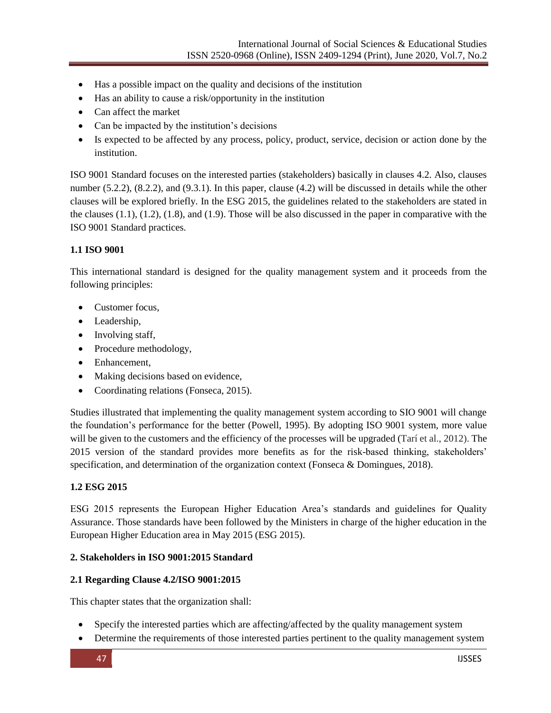- Has a possible impact on the quality and decisions of the institution
- Has an ability to cause a risk/opportunity in the institution
- Can affect the market
- Can be impacted by the institution's decisions
- Is expected to be affected by any process, policy, product, service, decision or action done by the institution.

ISO 9001 Standard focuses on the interested parties (stakeholders) basically in clauses 4.2. Also, clauses number (5.2.2), (8.2.2), and (9.3.1). In this paper, clause (4.2) will be discussed in details while the other clauses will be explored briefly. In the ESG 2015, the guidelines related to the stakeholders are stated in the clauses (1.1), (1.2), (1.8), and (1.9). Those will be also discussed in the paper in comparative with the ISO 9001 Standard practices.

#### **1.1 ISO 9001**

This international standard is designed for the quality management system and it proceeds from the following principles:

- Customer focus,
- Leadership,
- Involving staff,
- Procedure methodology,
- Enhancement,
- Making decisions based on evidence,
- Coordinating relations (Fonseca, 2015).

Studies illustrated that implementing the quality management system according to SIO 9001 will change the foundation's performance for the better (Powell, 1995). By adopting ISO 9001 system, more value will be given to the customers and the efficiency of the processes will be upgraded (Tarí et al., 2012). The 2015 version of the standard provides more benefits as for the risk-based thinking, stakeholders' specification, and determination of the organization context (Fonseca & Domingues, 2018).

#### **1.2 ESG 2015**

ESG 2015 represents the European Higher Education Area's standards and guidelines for Quality Assurance. Those standards have been followed by the Ministers in charge of the higher education in the European Higher Education area in May 2015 (ESG 2015).

#### **2. Stakeholders in ISO 9001:2015 Standard**

#### **2.1 Regarding Clause 4.2/ISO 9001:2015**

This chapter states that the organization shall:

- Specify the interested parties which are affecting/affected by the quality management system
- Determine the requirements of those interested parties pertinent to the quality management system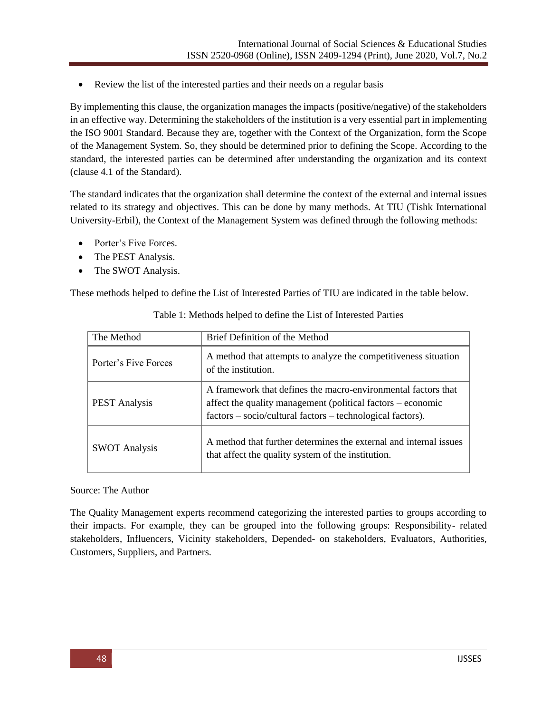Review the list of the interested parties and their needs on a regular basis

By implementing this clause, the organization manages the impacts (positive/negative) of the stakeholders in an effective way. Determining the stakeholders of the institution is a very essential part in implementing the ISO 9001 Standard. Because they are, together with the Context of the Organization, form the Scope of the Management System. So, they should be determined prior to defining the Scope. According to the standard, the interested parties can be determined after understanding the organization and its context (clause 4.1 of the Standard).

The standard indicates that the organization shall determine the context of the external and internal issues related to its strategy and objectives. This can be done by many methods. At TIU (Tishk International University-Erbil), the Context of the Management System was defined through the following methods:

- Porter's Five Forces.
- The PEST Analysis.
- The SWOT Analysis.

These methods helped to define the List of Interested Parties of TIU are indicated in the table below.

| The Method           | Brief Definition of the Method                                                                                                                                                             |  |
|----------------------|--------------------------------------------------------------------------------------------------------------------------------------------------------------------------------------------|--|
| Porter's Five Forces | A method that attempts to analyze the competitiveness situation<br>of the institution.                                                                                                     |  |
| <b>PEST</b> Analysis | A framework that defines the macro-environmental factors that<br>affect the quality management (political factors – economic<br>factors – socio/cultural factors – technological factors). |  |
| <b>SWOT Analysis</b> | A method that further determines the external and internal issues<br>that affect the quality system of the institution.                                                                    |  |

Table 1: Methods helped to define the List of Interested Parties

Source: The Author

The Quality Management experts recommend categorizing the interested parties to groups according to their impacts. For example, they can be grouped into the following groups: Responsibility- related stakeholders, Influencers, Vicinity stakeholders, Depended- on stakeholders, Evaluators, Authorities, Customers, Suppliers, and Partners.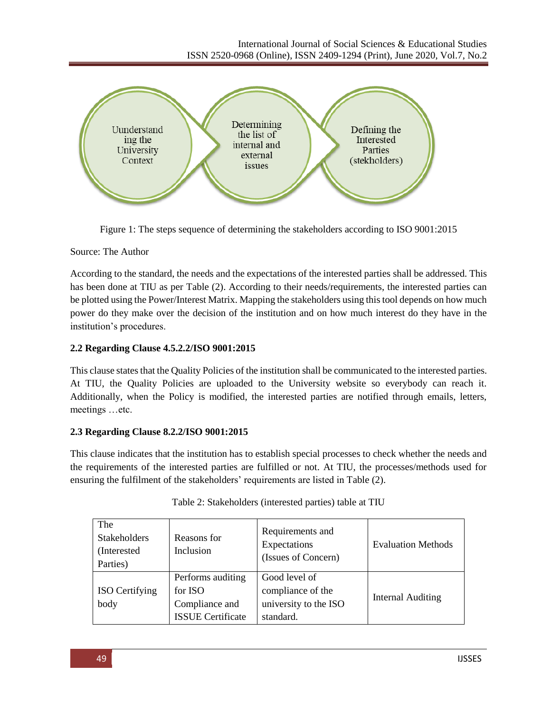

Figure 1: The steps sequence of determining the stakeholders according to ISO 9001:2015

### Source: The Author

According to the standard, the needs and the expectations of the interested parties shall be addressed. This has been done at TIU as per Table (2). According to their needs/requirements, the interested parties can be plotted using the Power/Interest Matrix. Mapping the stakeholders using this tool depends on how much power do they make over the decision of the institution and on how much interest do they have in the institution's procedures.

# **2.2 Regarding Clause 4.5.2.2/ISO 9001:2015**

This clause states that the Quality Policies of the institution shall be communicated to the interested parties. At TIU, the Quality Policies are uploaded to the University website so everybody can reach it. Additionally, when the Policy is modified, the interested parties are notified through emails, letters, meetings …etc.

# **2.3 Regarding Clause 8.2.2/ISO 9001:2015**

This clause indicates that the institution has to establish special processes to check whether the needs and the requirements of the interested parties are fulfilled or not. At TIU, the processes/methods used for ensuring the fulfilment of the stakeholders' requirements are listed in Table (2).

| The<br><b>Stakeholders</b><br>(Interested<br>Parties) | Reasons for<br>Inclusion                                                   | Requirements and<br>Expectations<br>(Issues of Concern)                  | <b>Evaluation Methods</b> |
|-------------------------------------------------------|----------------------------------------------------------------------------|--------------------------------------------------------------------------|---------------------------|
| ISO Certifying<br>body                                | Performs auditing<br>for ISO<br>Compliance and<br><b>ISSUE</b> Certificate | Good level of<br>compliance of the<br>university to the ISO<br>standard. | <b>Internal Auditing</b>  |

| Table 2: Stakeholders (interested parties) table at TIU |
|---------------------------------------------------------|
|                                                         |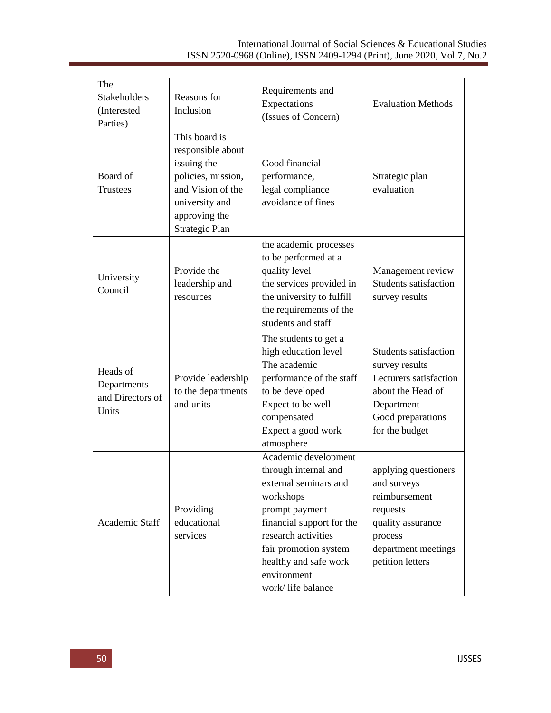| The<br>Stakeholders<br>(Interested<br>Parties)       | Reasons for<br>Inclusion                                                                                                                                 | Requirements and<br>Expectations<br>(Issues of Concern)                                                                                                                                                                                        | <b>Evaluation Methods</b>                                                                                                                          |
|------------------------------------------------------|----------------------------------------------------------------------------------------------------------------------------------------------------------|------------------------------------------------------------------------------------------------------------------------------------------------------------------------------------------------------------------------------------------------|----------------------------------------------------------------------------------------------------------------------------------------------------|
| Board of<br><b>Trustees</b>                          | This board is<br>responsible about<br>issuing the<br>policies, mission,<br>and Vision of the<br>university and<br>approving the<br><b>Strategic Plan</b> | Good financial<br>performance,<br>legal compliance<br>avoidance of fines                                                                                                                                                                       | Strategic plan<br>evaluation                                                                                                                       |
| University<br>Council                                | Provide the<br>leadership and<br>resources                                                                                                               | the academic processes<br>to be performed at a<br>quality level<br>the services provided in<br>the university to fulfill<br>the requirements of the<br>students and staff                                                                      | Management review<br><b>Students satisfaction</b><br>survey results                                                                                |
| Heads of<br>Departments<br>and Directors of<br>Units | Provide leadership<br>to the departments<br>and units                                                                                                    | The students to get a<br>high education level<br>The academic<br>performance of the staff<br>to be developed<br>Expect to be well<br>compensated<br>Expect a good work<br>atmosphere                                                           | <b>Students satisfaction</b><br>survey results<br>Lecturers satisfaction<br>about the Head of<br>Department<br>Good preparations<br>for the budget |
| Academic Staff                                       | Providing<br>educational<br>services                                                                                                                     | Academic development<br>through internal and<br>external seminars and<br>workshops<br>prompt payment<br>financial support for the<br>research activities<br>fair promotion system<br>healthy and safe work<br>environment<br>work/life balance | applying questioners<br>and surveys<br>reimbursement<br>requests<br>quality assurance<br>process<br>department meetings<br>petition letters        |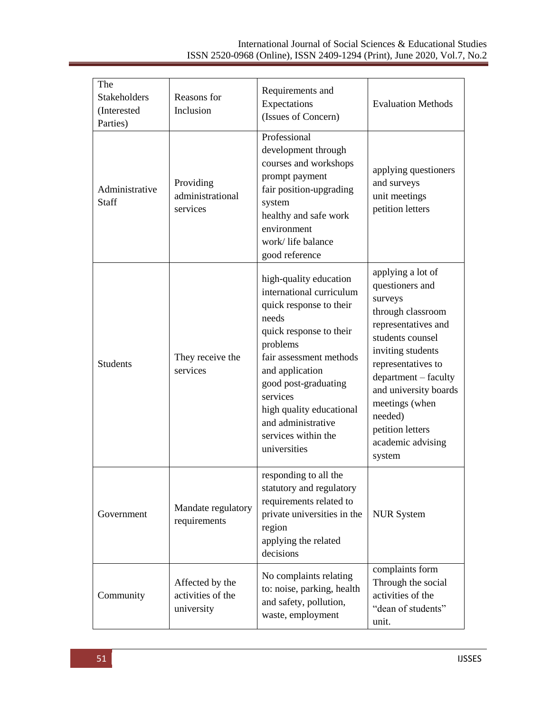| The<br><b>Stakeholders</b><br>(Interested<br>Parties) | Reasons for<br>Inclusion                           | Requirements and<br>Expectations<br>(Issues of Concern)                                                                                                                                                                                                                                                  | <b>Evaluation Methods</b>                                                                                                                                                                                                                                                                   |
|-------------------------------------------------------|----------------------------------------------------|----------------------------------------------------------------------------------------------------------------------------------------------------------------------------------------------------------------------------------------------------------------------------------------------------------|---------------------------------------------------------------------------------------------------------------------------------------------------------------------------------------------------------------------------------------------------------------------------------------------|
| Administrative<br>Staff                               | Providing<br>administrational<br>services          | Professional<br>development through<br>courses and workshops<br>prompt payment<br>fair position-upgrading<br>system<br>healthy and safe work<br>environment<br>work/life balance<br>good reference                                                                                                       | applying questioners<br>and surveys<br>unit meetings<br>petition letters                                                                                                                                                                                                                    |
| <b>Students</b>                                       | They receive the<br>services                       | high-quality education<br>international curriculum<br>quick response to their<br>needs<br>quick response to their<br>problems<br>fair assessment methods<br>and application<br>good post-graduating<br>services<br>high quality educational<br>and administrative<br>services within the<br>universities | applying a lot of<br>questioners and<br>surveys<br>through classroom<br>representatives and<br>students counsel<br>inviting students<br>representatives to<br>department - faculty<br>and university boards<br>meetings (when<br>needed)<br>petition letters<br>academic advising<br>system |
| Government                                            | Mandate regulatory<br>requirements                 | responding to all the<br>statutory and regulatory<br>requirements related to<br>private universities in the<br>region<br>applying the related<br>decisions                                                                                                                                               | <b>NUR System</b>                                                                                                                                                                                                                                                                           |
| Community                                             | Affected by the<br>activities of the<br>university | No complaints relating<br>to: noise, parking, health<br>and safety, pollution,<br>waste, employment                                                                                                                                                                                                      | complaints form<br>Through the social<br>activities of the<br>"dean of students"<br>unit.                                                                                                                                                                                                   |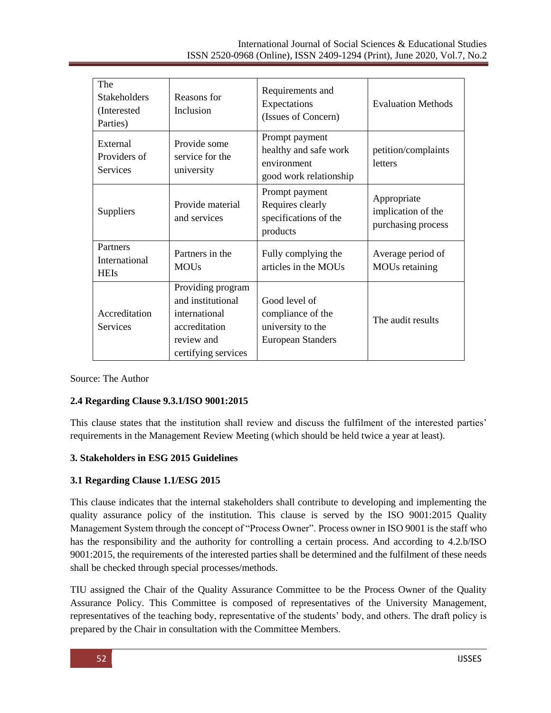| The<br><b>Stakeholders</b><br>(Interested<br>Parties) | Reasons for<br>Inclusion                                                                                      | Requirements and<br>Expectations<br>(Issues of Concern)                             | <b>Evaluation Methods</b>                               |
|-------------------------------------------------------|---------------------------------------------------------------------------------------------------------------|-------------------------------------------------------------------------------------|---------------------------------------------------------|
| External<br>Providers of<br>Services                  | Provide some<br>service for the<br>university                                                                 | Prompt payment<br>healthy and safe work<br>environment<br>good work relationship    | petition/complaints<br><b>letters</b>                   |
| Suppliers                                             | Provide material<br>and services                                                                              | Prompt payment<br>Requires clearly<br>specifications of the<br>products             | Appropriate<br>implication of the<br>purchasing process |
| Partners<br>International<br><b>HEIs</b>              | Partners in the<br><b>MOUs</b>                                                                                | Fully complying the<br>articles in the MOUs                                         | Average period of<br><b>MOUs</b> retaining              |
| Accreditation<br>Services                             | Providing program<br>and institutional<br>international<br>accreditation<br>review and<br>certifying services | Good level of<br>compliance of the<br>university to the<br><b>European Standers</b> | The audit results                                       |

Source: The Author

### **2.4 Regarding Clause 9.3.1/ISO 9001:2015**

This clause states that the institution shall review and discuss the fulfilment of the interested parties' requirements in the Management Review Meeting (which should be held twice a year at least).

### **3. Stakeholders in ESG 2015 Guidelines**

### **3.1 Regarding Clause 1.1/ESG 2015**

This clause indicates that the internal stakeholders shall contribute to developing and implementing the quality assurance policy of the institution. This clause is served by the ISO 9001:2015 Quality Management System through the concept of "Process Owner". Process owner in ISO 9001 is the staff who has the responsibility and the authority for controlling a certain process. And according to 4.2.b/ISO 9001:2015, the requirements of the interested parties shall be determined and the fulfilment of these needs shall be checked through special processes/methods.

TIU assigned the Chair of the Quality Assurance Committee to be the Process Owner of the Quality Assurance Policy. This Committee is composed of representatives of the University Management, representatives of the teaching body, representative of the students' body, and others. The draft policy is prepared by the Chair in consultation with the Committee Members.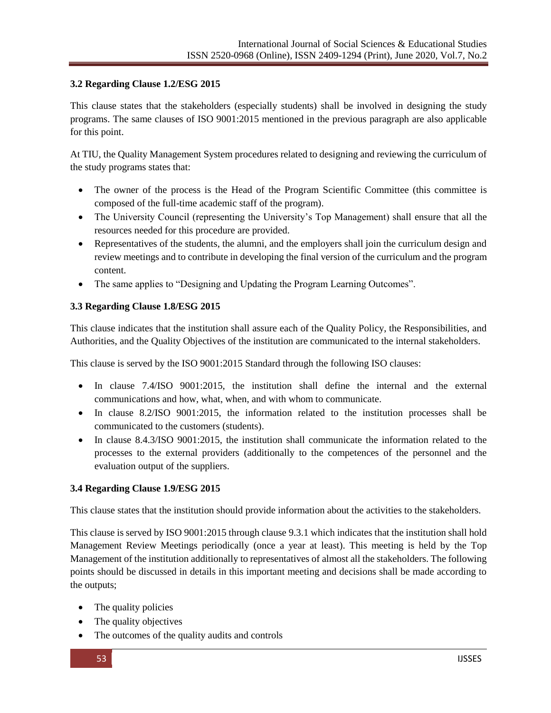### **3.2 Regarding Clause 1.2/ESG 2015**

This clause states that the stakeholders (especially students) shall be involved in designing the study programs. The same clauses of ISO 9001:2015 mentioned in the previous paragraph are also applicable for this point.

At TIU, the Quality Management System procedures related to designing and reviewing the curriculum of the study programs states that:

- The owner of the process is the Head of the Program Scientific Committee (this committee is composed of the full-time academic staff of the program).
- The University Council (representing the University's Top Management) shall ensure that all the resources needed for this procedure are provided.
- Representatives of the students, the alumni, and the employers shall join the curriculum design and review meetings and to contribute in developing the final version of the curriculum and the program content.
- The same applies to "Designing and Updating the Program Learning Outcomes".

#### **3.3 Regarding Clause 1.8/ESG 2015**

This clause indicates that the institution shall assure each of the Quality Policy, the Responsibilities, and Authorities, and the Quality Objectives of the institution are communicated to the internal stakeholders.

This clause is served by the ISO 9001:2015 Standard through the following ISO clauses:

- In clause 7.4/ISO 9001:2015, the institution shall define the internal and the external communications and how, what, when, and with whom to communicate.
- In clause 8.2/ISO 9001:2015, the information related to the institution processes shall be communicated to the customers (students).
- In clause 8.4.3/ISO 9001:2015, the institution shall communicate the information related to the processes to the external providers (additionally to the competences of the personnel and the evaluation output of the suppliers.

### **3.4 Regarding Clause 1.9/ESG 2015**

This clause states that the institution should provide information about the activities to the stakeholders.

This clause is served by ISO 9001:2015 through clause 9.3.1 which indicates that the institution shall hold Management Review Meetings periodically (once a year at least). This meeting is held by the Top Management of the institution additionally to representatives of almost all the stakeholders. The following points should be discussed in details in this important meeting and decisions shall be made according to the outputs;

- The quality policies
- The quality objectives
- The outcomes of the quality audits and controls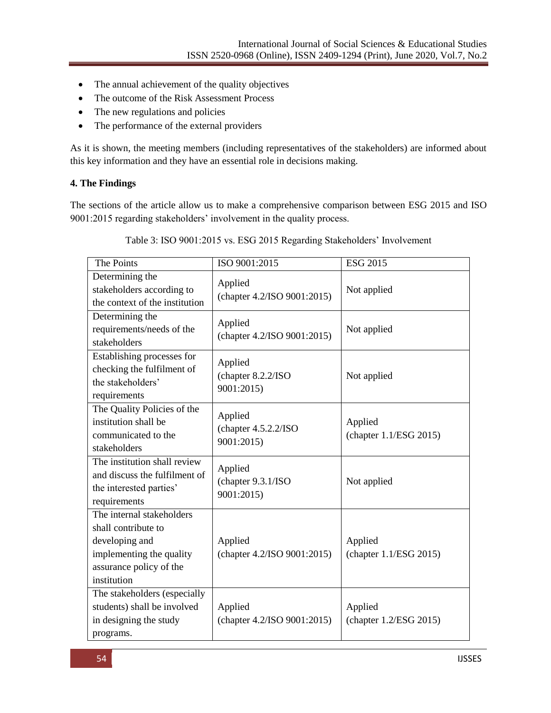- The annual achievement of the quality objectives
- The outcome of the Risk Assessment Process
- The new regulations and policies
- The performance of the external providers

As it is shown, the meeting members (including representatives of the stakeholders) are informed about this key information and they have an essential role in decisions making.

### **4. The Findings**

The sections of the article allow us to make a comprehensive comparison between ESG 2015 and ISO 9001:2015 regarding stakeholders' involvement in the quality process.

| The Points                                                                                                                               | ISO 9001:2015                                 | <b>ESG 2015</b>                   |
|------------------------------------------------------------------------------------------------------------------------------------------|-----------------------------------------------|-----------------------------------|
| Determining the<br>stakeholders according to<br>the context of the institution                                                           | Applied<br>(chapter 4.2/ISO 9001:2015)        | Not applied                       |
| Determining the<br>requirements/needs of the<br>stakeholders                                                                             | Applied<br>(chapter 4.2/ISO 9001:2015)        | Not applied                       |
| Establishing processes for<br>checking the fulfilment of<br>the stakeholders'<br>requirements                                            | Applied<br>(chapter 8.2.2/ISO<br>9001:2015)   | Not applied                       |
| The Quality Policies of the<br>institution shall be<br>communicated to the<br>stakeholders                                               | Applied<br>(chapter 4.5.2.2/ISO<br>9001:2015) | Applied<br>(chapter 1.1/ESG 2015) |
| The institution shall review<br>and discuss the fulfilment of<br>the interested parties'<br>requirements                                 | Applied<br>(chapter 9.3.1/ISO<br>9001:2015)   | Not applied                       |
| The internal stakeholders<br>shall contribute to<br>developing and<br>implementing the quality<br>assurance policy of the<br>institution | Applied<br>(chapter 4.2/ISO 9001:2015)        | Applied<br>(chapter 1.1/ESG 2015) |
| The stakeholders (especially<br>students) shall be involved<br>in designing the study<br>programs.                                       | Applied<br>(chapter 4.2/ISO 9001:2015)        | Applied<br>(chapter 1.2/ESG 2015) |

Table 3: ISO 9001:2015 vs. ESG 2015 Regarding Stakeholders' Involvement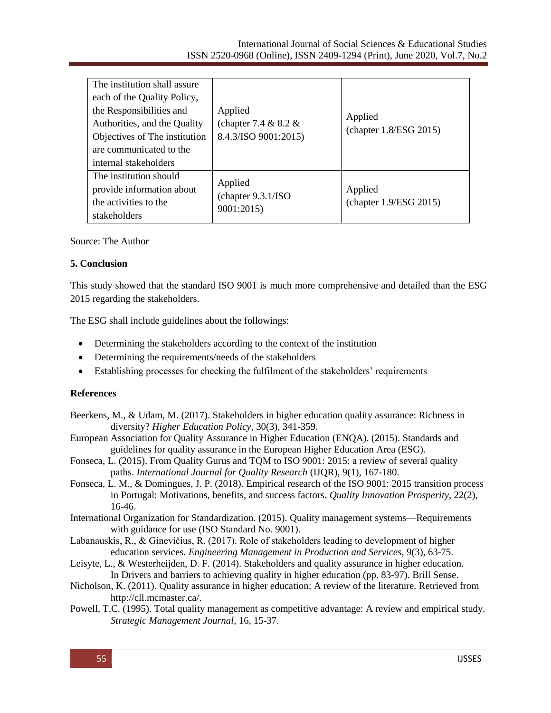| The institution shall assure<br>each of the Quality Policy,<br>the Responsibilities and<br>Authorities, and the Quality<br>Objectives of The institution<br>are communicated to the<br>internal stakeholders | Applied<br>(chapter 7.4 $& 8.2 &$<br>8.4.3/ISO 9001:2015) | Applied<br>(chapter 1.8/ESG 2015) |
|--------------------------------------------------------------------------------------------------------------------------------------------------------------------------------------------------------------|-----------------------------------------------------------|-----------------------------------|
| The institution should<br>provide information about<br>the activities to the<br>stakeholders                                                                                                                 | Applied<br>(chapter 9.3.1/ISO)<br>9001:2015)              | Applied<br>(chapter 1.9/ESG 2015) |

Source: The Author

#### **5. Conclusion**

This study showed that the standard ISO 9001 is much more comprehensive and detailed than the ESG 2015 regarding the stakeholders.

The ESG shall include guidelines about the followings:

- Determining the stakeholders according to the context of the institution
- Determining the requirements/needs of the stakeholders
- Establishing processes for checking the fulfilment of the stakeholders' requirements

#### **References**

- Beerkens, M., & Udam, M. (2017). Stakeholders in higher education quality assurance: Richness in diversity? *Higher Education Policy*, 30(3), 341-359.
- European Association for Quality Assurance in Higher Education (ENQA). (2015). Standards and guidelines for quality assurance in the European Higher Education Area (ESG).
- Fonseca, L. (2015). From Quality Gurus and TQM to ISO 9001: 2015: a review of several quality paths. *International Journal for Quality Research* (IJQR), 9(1), 167-180.
- Fonseca, L. M., & Domingues, J. P. (2018). Empirical research of the ISO 9001: 2015 transition process in Portugal: Motivations, benefits, and success factors. *Quality Innovation Prosperity*, 22(2), 16-46.
- International Organization for Standardization. (2015). Quality management systems—Requirements with guidance for use (ISO Standard No. 9001).
- Labanauskis, R., & Ginevičius, R. (2017). Role of stakeholders leading to development of higher education services. *Engineering Management in Production and Services*, 9(3), 63-75.
- Leisyte, L., & Westerheijden, D. F. (2014). Stakeholders and quality assurance in higher education. In Drivers and barriers to achieving quality in higher education (pp. 83-97). Brill Sense.
- Nicholson, K. (2011). Quality assurance in higher education: A review of the literature. Retrieved from [http://cll.mcmaster.ca/.](http://cll.mcmaster.ca/)
- Powell, T.C. (1995). Total quality management as competitive advantage: A review and empirical study. *Strategic Management Journal*, 16, 15-37.